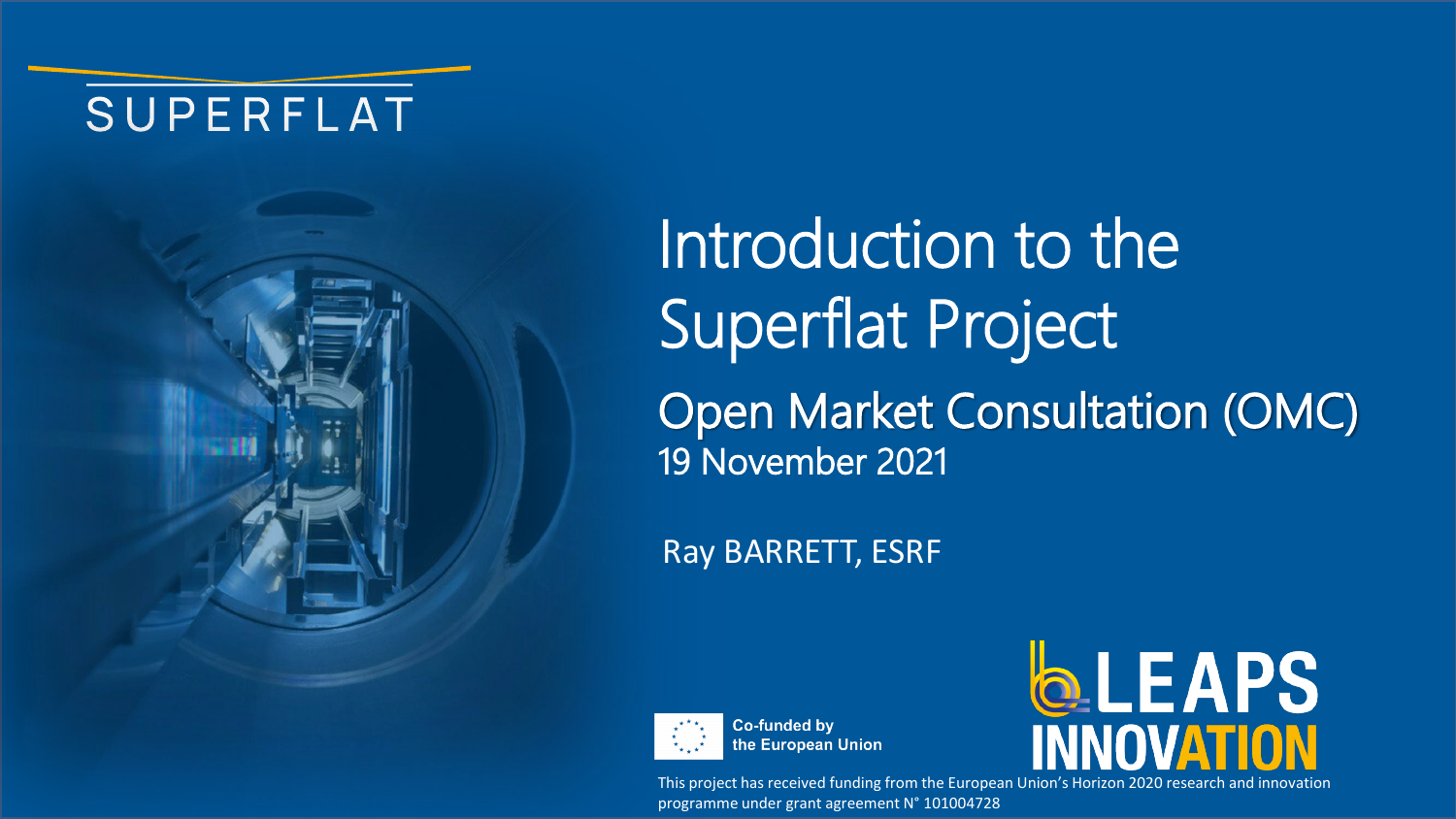## SUPERFLAT



Introduction to the Superflat Project Open Market Consultation (OMC) 19 November 2021

Ray BARRETT, ESRF



**Co-funded by** the European Union



This project has received funding from the European Union's Horizon 2020 research and innovation programme under grant agreement N° 101004728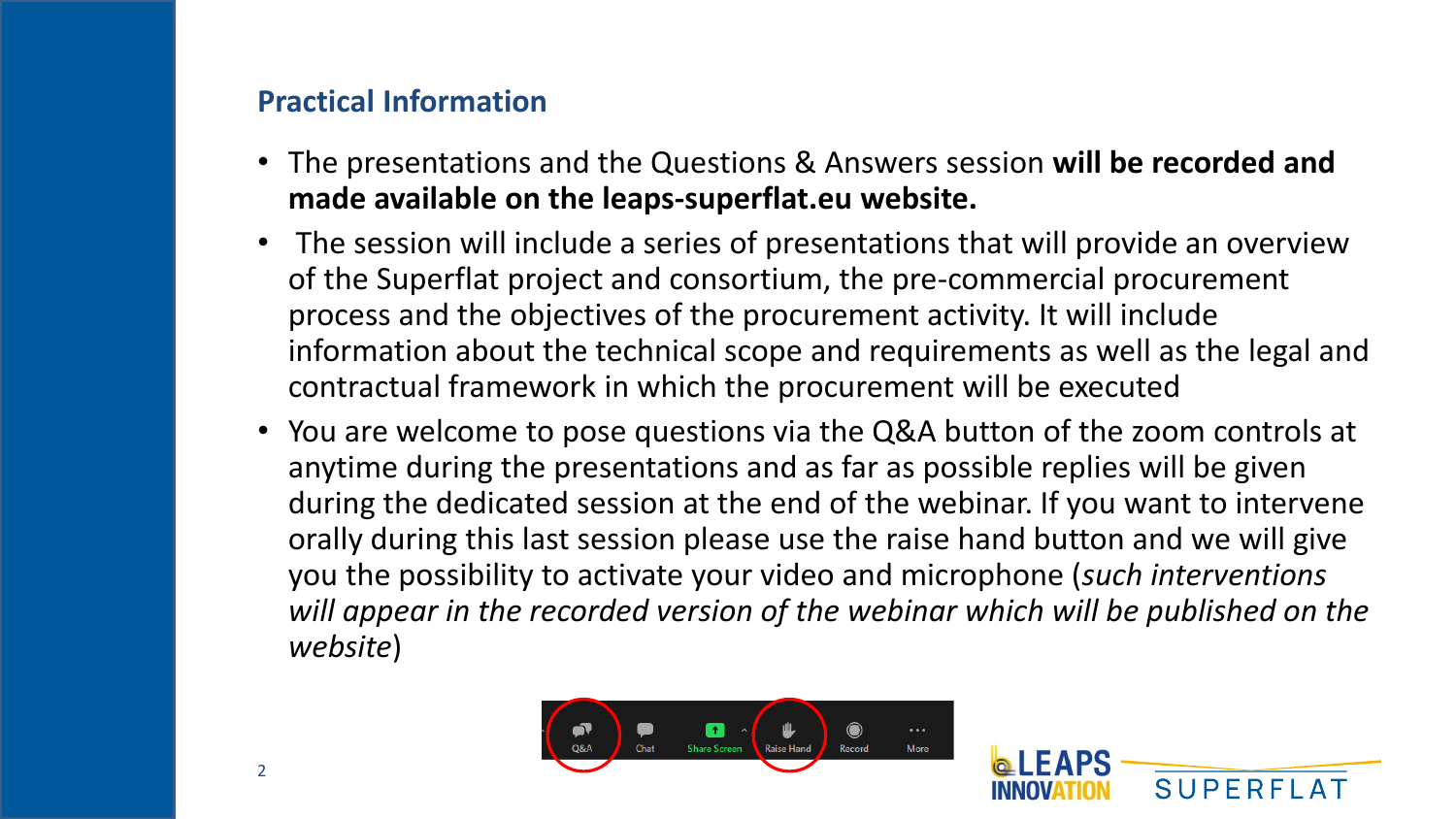## **Practical Information**

- The presentations and the Questions & Answers session **will be recorded and made available on the leaps-superflat.eu website.**
- The session will include a series of presentations that will provide an overview of the Superflat project and consortium, the pre-commercial procurement process and the objectives of the procurement activity. It will include information about the technical scope and requirements as well as the legal and contractual framework in which the procurement will be executed
- You are welcome to pose questions via the Q&A button of the zoom controls at anytime during the presentations and as far as possible replies will be given during the dedicated session at the end of the webinar. If you want to intervene orally during this last session please use the raise hand button and we will give you the possibility to activate your video and microphone (*such interventions*  will appear in the recorded version of the webinar which will be published on the *website*)



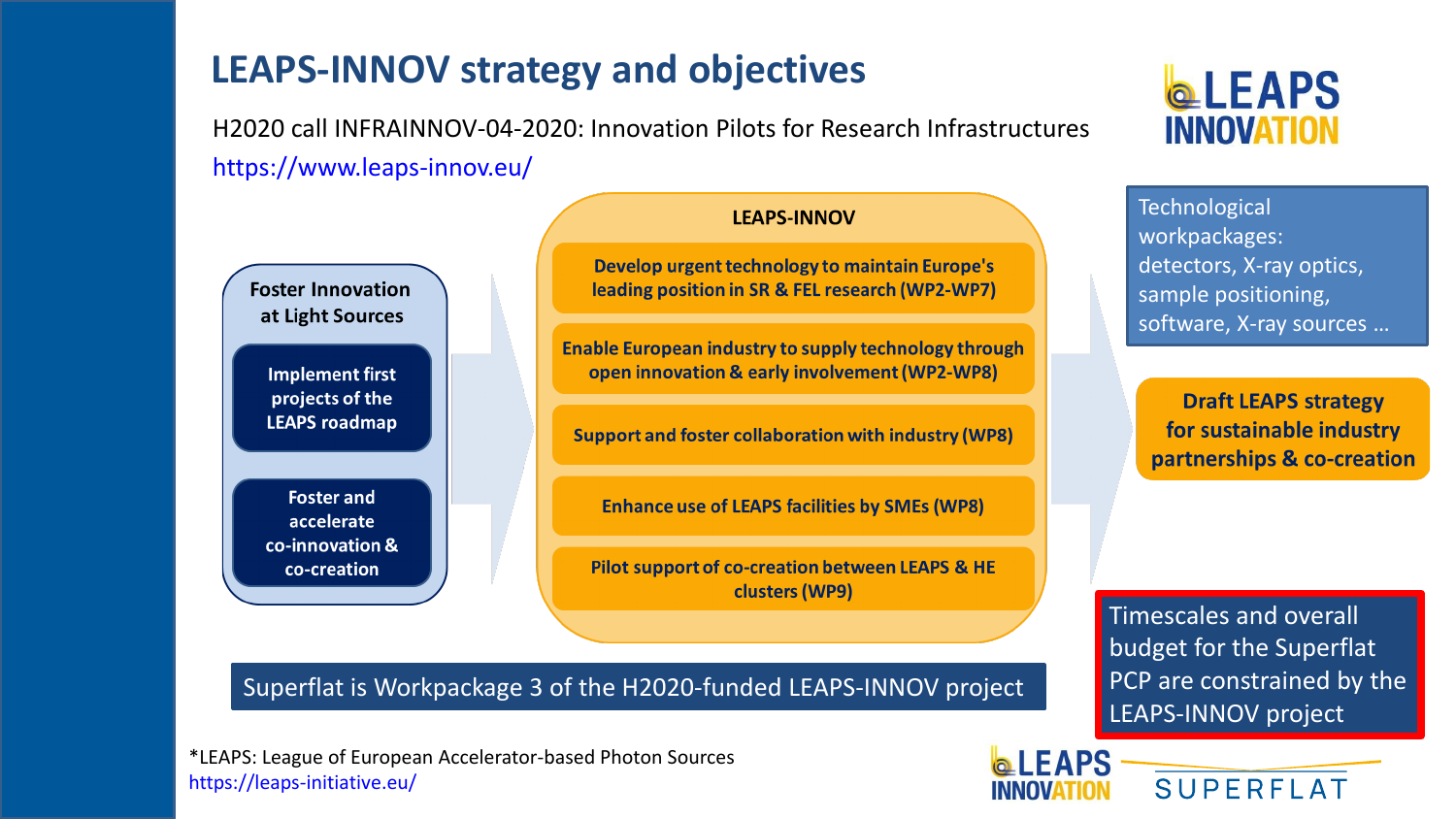## **LEAPS-INNOV strategy and objectives**

H2020 call INFRAINNOV-04-2020: Innovation Pilots for Research Infrastructures https://www.leaps-innov.eu/



accelerate co-innovation & co-creation

#### **LEAPS-INNOV**

Develop urgent technology to maintain Europe's leading position in SR & FEL research (WP2-WP7)

**Enable European industry to supply technology through** open innovation & early involvement (WP2-WP8)

**Support and foster collaboration with industry (WP8)** 

**Enhance use of LEAPS facilities by SMEs (WP8)** 

Pilot support of co-creation between LEAPS & HE clusters (WP9)

#### Superflat is Workpackage 3 of the H2020-funded LEAPS-INNOV project

\*LEAPS: League of European Accelerator-based Photon Sources https://leaps-initiative.eu/



**Technological** workpackages: detectors, X-ray optics, sample positioning, software, X-ray sources …

**Draft LEAPS strategy** for sustainable industry partnerships & co-creation

Timescales and overall budget for the Superflat PCP are constrained by the LEAPS-INNOV project

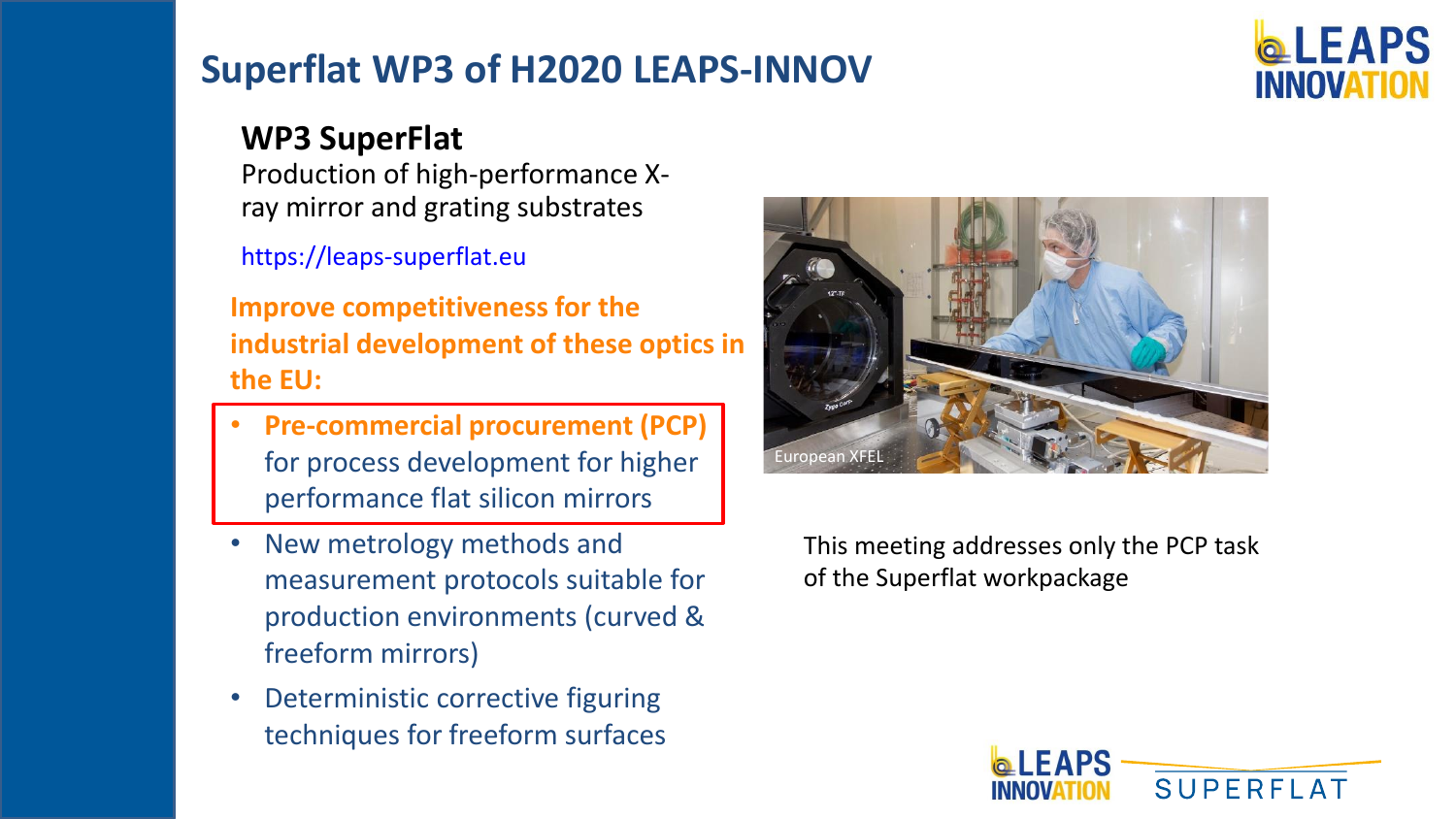## **Superflat WP3 of H2020 LEAPS-INNOV**

# **EAPS**

## **WP3 SuperFlat**

Production of high-performance Xray mirror and grating substrates

https://leaps-superflat.eu

**Improve competitiveness for the industrial development of these optics in the EU:**

- **Pre-commercial procurement (PCP)**  for process development for higher performance flat silicon mirrors
- New metrology methods and measurement protocols suitable for production environments (curved & freeform mirrors)
- Deterministic corrective figuring techniques for freeform surfaces



This meeting addresses only the PCP task of the Superflat workpackage

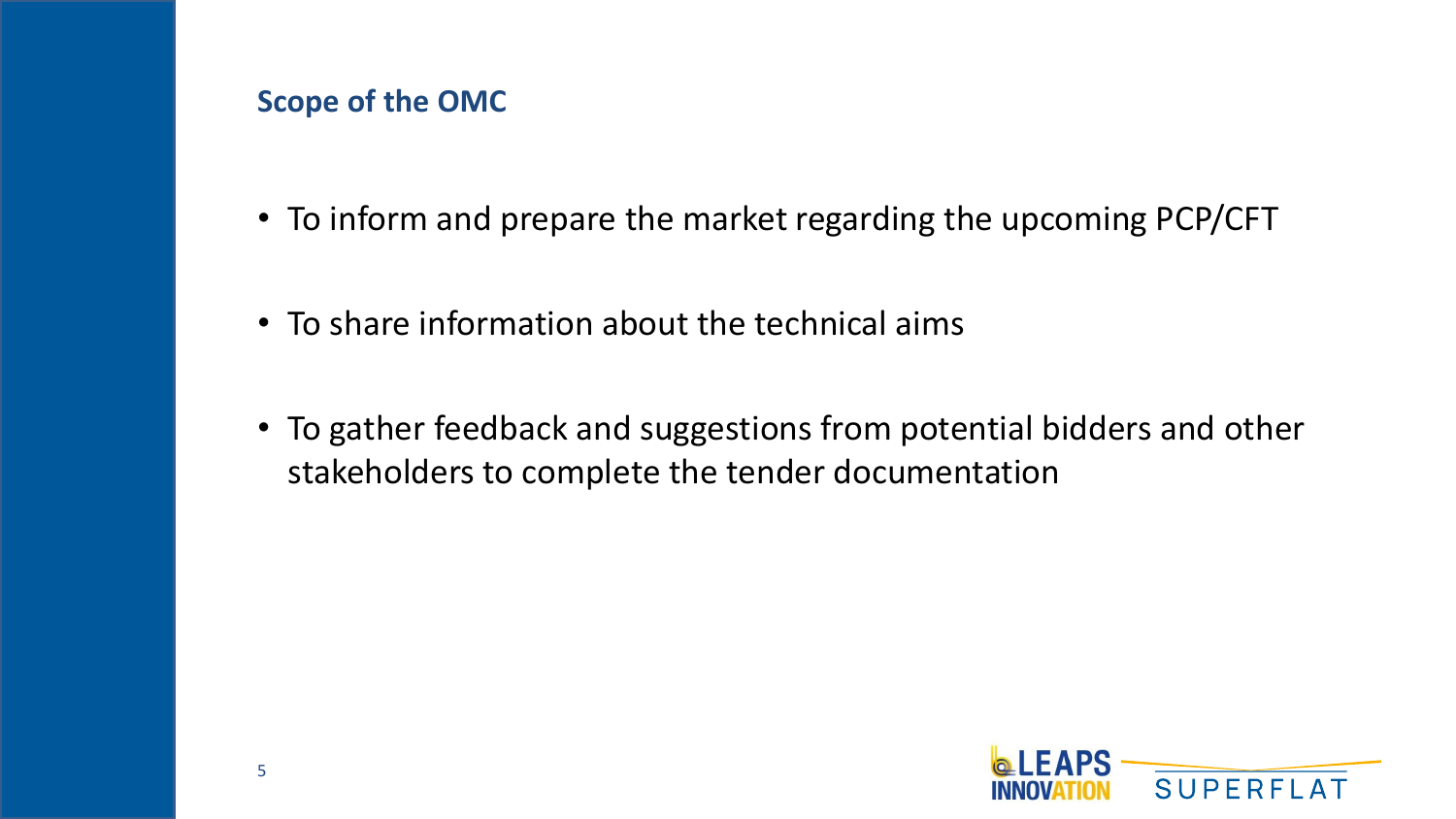#### **Scope of the OMC**

- To inform and prepare the market regarding the upcoming PCP/CFT
- To share information about the technical aims
- To gather feedback and suggestions from potential bidders and other stakeholders to complete the tender documentation

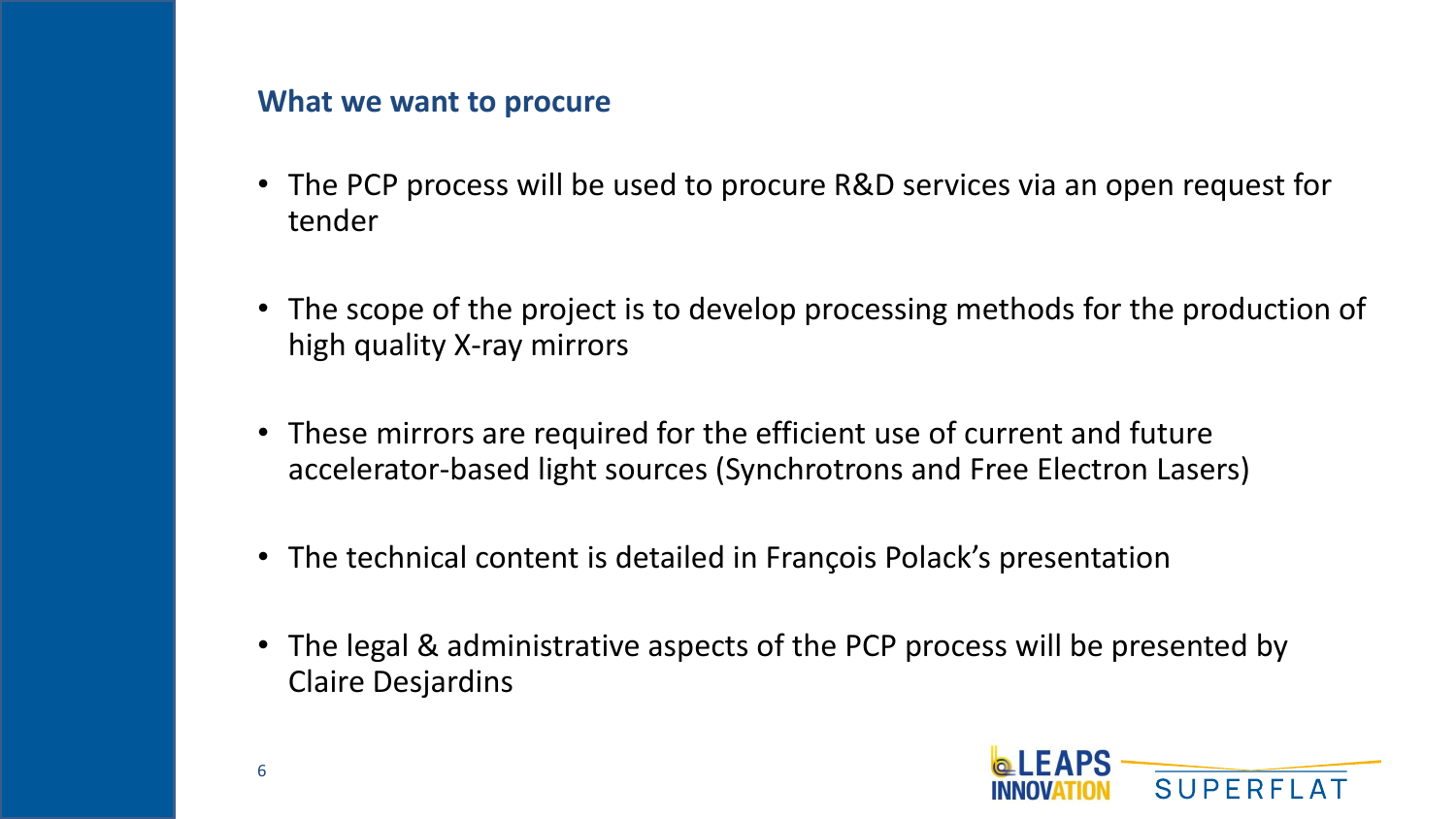#### **What we want to procure**

- The PCP process will be used to procure R&D services via an open request for tender
- The scope of the project is to develop processing methods for the production of high quality X-ray mirrors
- These mirrors are required for the efficient use of current and future accelerator-based light sources (Synchrotrons and Free Electron Lasers)
- The technical content is detailed in François Polack's presentation
- The legal & administrative aspects of the PCP process will be presented by Claire Desjardins

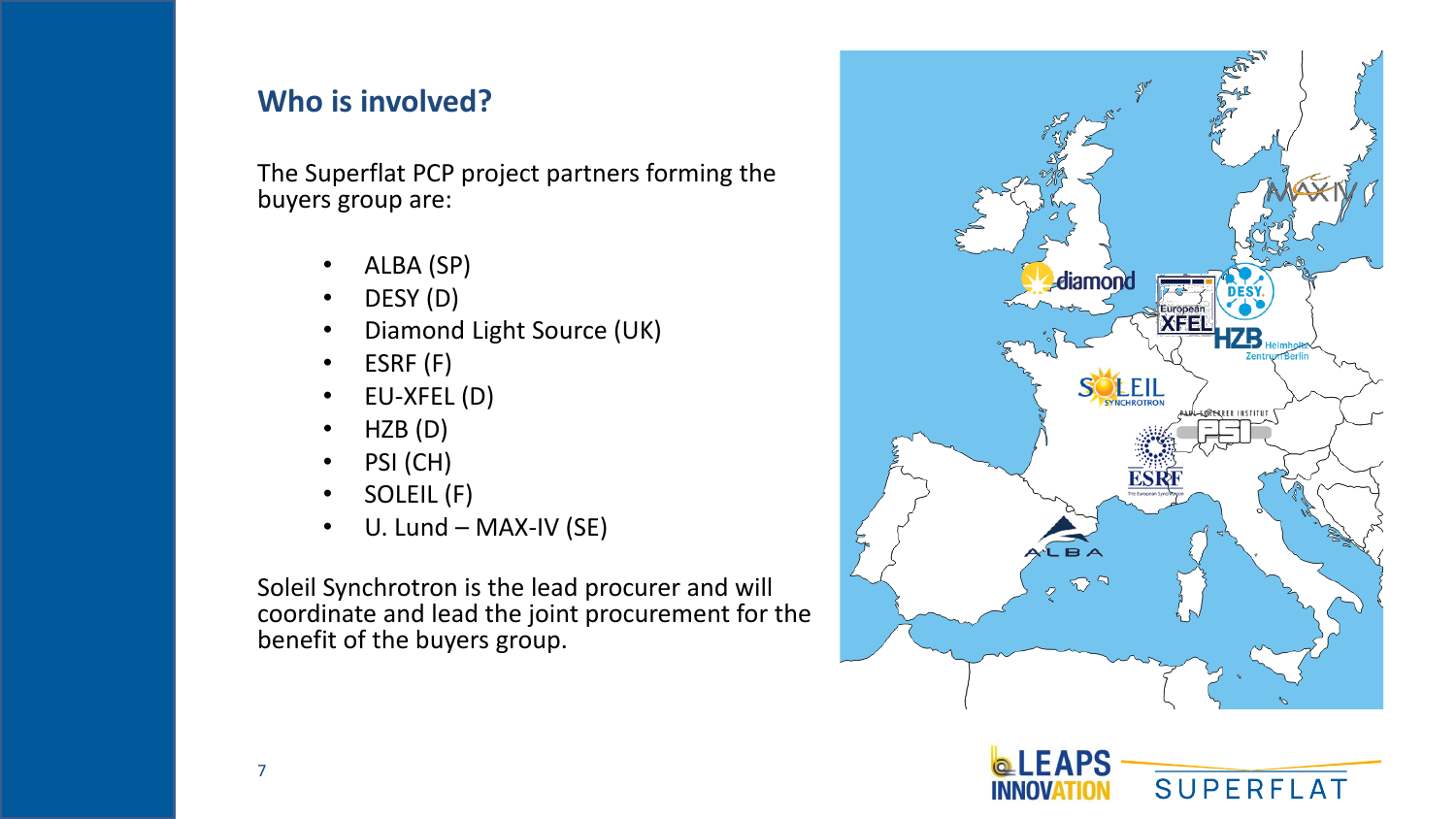## **Who is involved?**

The Superflat PCP project partners forming the buyers group are:

- ALBA (SP)
- DESY (D)
- Diamond Light Source (UK)
- ESRF (F)
- EU-XFEL (D)
- HZB (D)
- PSI (CH)
- SOLEIL (F)
- U. Lund MAX-IV (SE)

Soleil Synchrotron is the lead procurer and will coordinate and lead the joint procurement for the benefit of the buyers group.



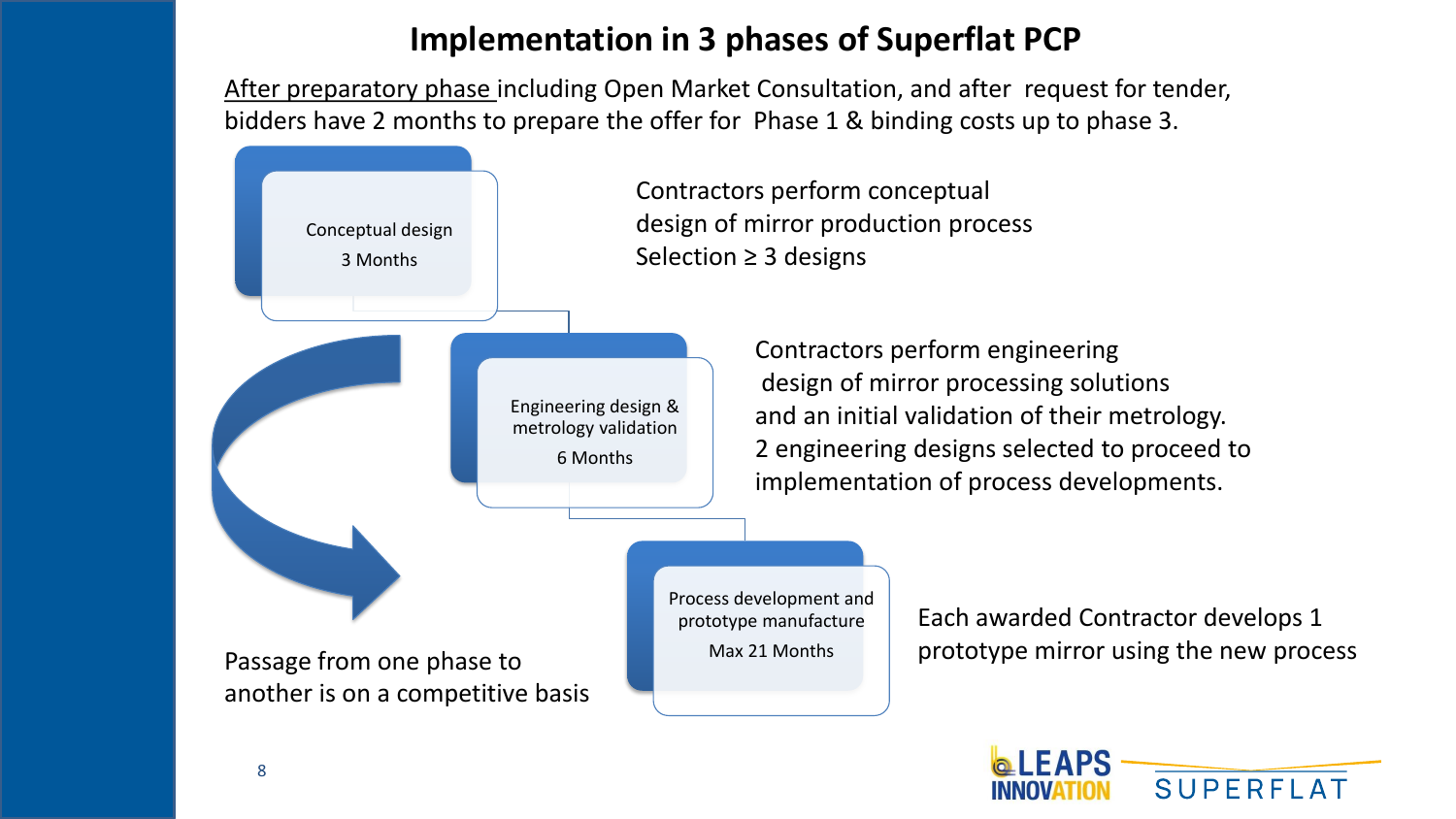## **Implementation in 3 phases of Superflat PCP**

After preparatory phase including Open Market Consultation, and after request for tender, bidders have 2 months to prepare the offer for Phase 1 & binding costs up to phase 3.



**SUPERFL** 



8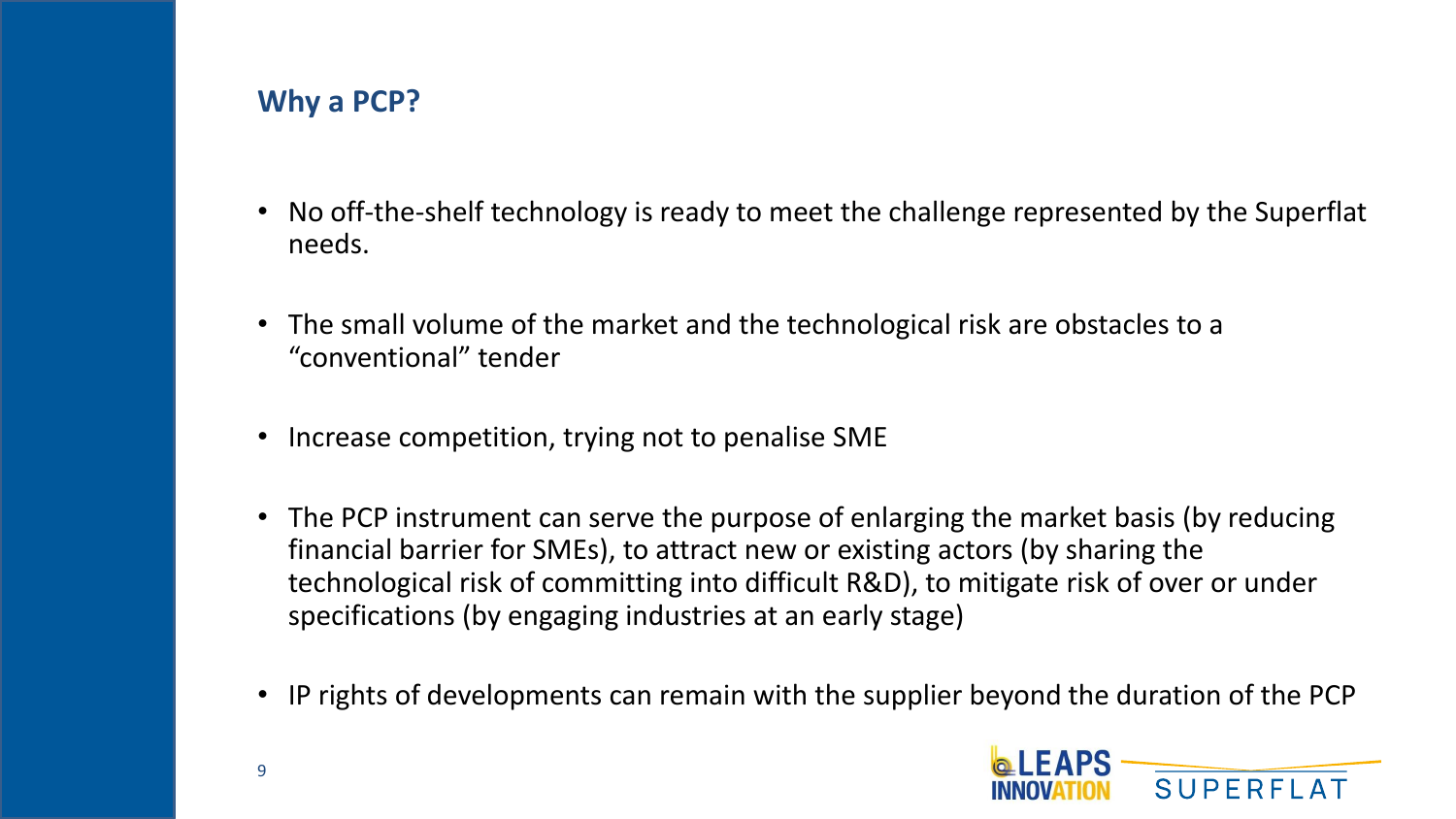## **Why a PCP?**

- No off-the-shelf technology is ready to meet the challenge represented by the Superflat needs.
- The small volume of the market and the technological risk are obstacles to a "conventional" tender
- Increase competition, trying not to penalise SME
- The PCP instrument can serve the purpose of enlarging the market basis (by reducing financial barrier for SMEs), to attract new or existing actors (by sharing the technological risk of committing into difficult R&D), to mitigate risk of over or under specifications (by engaging industries at an early stage)
- IP rights of developments can remain with the supplier beyond the duration of the PCP